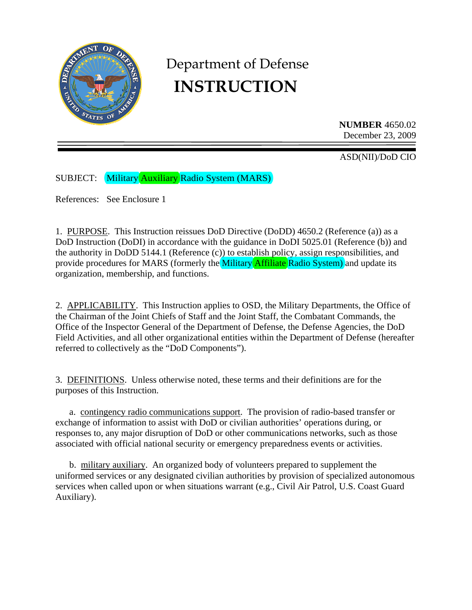

# Department of Defense **INSTRUCTION**

**NUMBER** 4650.02 December 23, 2009

ASD(NII)/DoD CIO

SUBJECT: Military Auxiliary Radio System (MARS)

References: See Enclosure 1

1. PURPOSE. This Instruction reissues DoD Directive (DoDD) 4650.2 (Reference (a)) as a DoD Instruction (DoDI) in accordance with the guidance in DoDI 5025.01 (Reference (b)) and the authority in DoDD 5144.1 (Reference (c)) to establish policy, assign responsibilities, and provide procedures for MARS (formerly the Military Affiliate Radio System) and update its organization, membership, and functions.

2. APPLICABILITY. This Instruction applies to OSD, the Military Departments, the Office of the Chairman of the Joint Chiefs of Staff and the Joint Staff, the Combatant Commands, the Office of the Inspector General of the Department of Defense, the Defense Agencies, the DoD Field Activities, and all other organizational entities within the Department of Defense (hereafter referred to collectively as the "DoD Components").

3. DEFINITIONS. Unless otherwise noted, these terms and their definitions are for the purposes of this Instruction.

 a. contingency radio communications support. The provision of radio-based transfer or exchange of information to assist with DoD or civilian authorities' operations during, or responses to, any major disruption of DoD or other communications networks, such as those associated with official national security or emergency preparedness events or activities.

 b. military auxiliary. An organized body of volunteers prepared to supplement the uniformed services or any designated civilian authorities by provision of specialized autonomous services when called upon or when situations warrant (e.g., Civil Air Patrol, U.S. Coast Guard Auxiliary).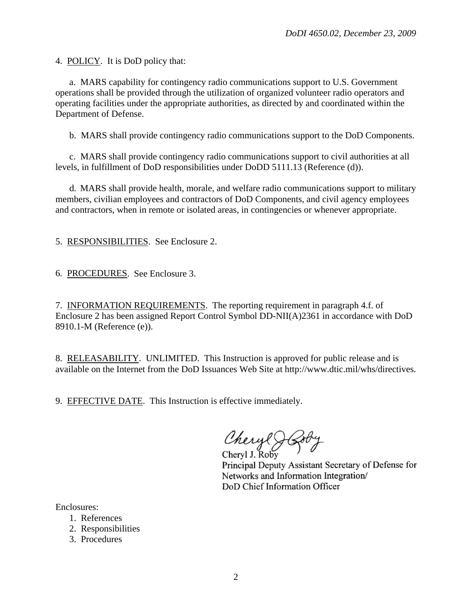4. POLICY. It is DoD policy that:

 a. MARS capability for contingency radio communications support to U.S. Government operations shall be provided through the utilization of organized volunteer radio operators and operating facilities under the appropriate authorities, as directed by and coordinated within the Department of Defense.

b. MARS shall provide contingency radio communications support to the DoD Components.

 c. MARS shall provide contingency radio communications support to civil authorities at all levels, in fulfillment of DoD responsibilities under DoDD 5111.13 (Reference (d)).

 d. MARS shall provide health, morale, and welfare radio communications support to military members, civilian employees and contractors of DoD Components, and civil agency employees and contractors, when in remote or isolated areas, in contingencies or whenever appropriate.

5. RESPONSIBILITIES. See Enclosure 2.

6. PROCEDURES. See Enclosure 3.

7. INFORMATION REQUIREMENTS. The reporting requirement in paragraph 4.f. of Enclosure 2 has been assigned Report Control Symbol DD-NII(A)2361 in accordance with DoD 8910.1-M (Reference (e)).

8. RELEASABILITY. UNLIMITED. This Instruction is approved for public release and is available on the Internet from the DoD Issuances Web Site at http://www.dtic.mil/whs/directives.

9. EFFECTIVE DATE. This Instruction is effective immediately.

Cheryl J Cob

Principal Deputy Assistant Secretary of Defense for Networks and Information Integration/ DoD Chief Information Officer

Enclosures:

- 1. References
- 2. Responsibilities
- 3. Procedures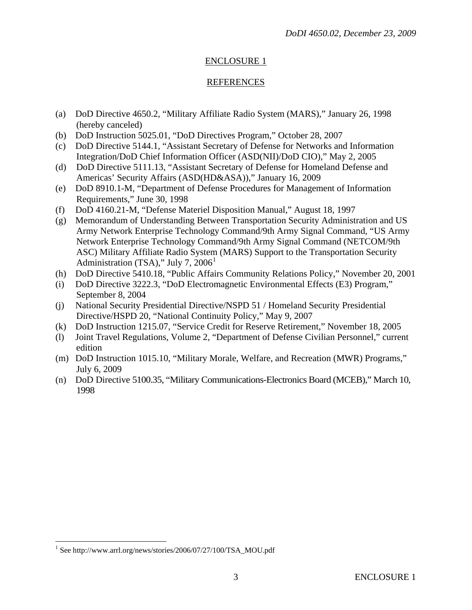# ENCLOSURE 1

### REFERENCES

- (a) DoD Directive 4650.2, "Military Affiliate Radio System (MARS)," January 26, 1998 (hereby canceled)
- (b) DoD Instruction 5025.01, "DoD Directives Program," October 28, 2007
- (c) DoD Directive 5144.1, "Assistant Secretary of Defense for Networks and Information Integration/DoD Chief Information Officer (ASD(NII)/DoD CIO)," May 2, 2005
- (d) DoD Directive 5111.13, "Assistant Secretary of Defense for Homeland Defense and Americas' Security Affairs (ASD(HD&ASA))," January 16, 2009
- (e) DoD 8910.1-M, "Department of Defense Procedures for Management of Information Requirements," June 30, 1998
- (f) DoD 4160.21-M, "Defense Materiel Disposition Manual," August 18, 1997
- (g) Memorandum of Understanding Between Transportation Security Administration and US Army Network Enterprise Technology Command/9th Army Signal Command, "US Army Network Enterprise Technology Command/9th Army Signal Command (NETCOM/9th ASC) Military Affiliate Radio System (MARS) Support to the Transportation Security Administration (TSA)," July 7,  $2006<sup>1</sup>$  $2006<sup>1</sup>$  $2006<sup>1</sup>$
- (h) DoD Directive 5410.18, "Public Affairs Community Relations Policy," November 20, 2001
- (i) DoD Directive 3222.3, "DoD Electromagnetic Environmental Effects (E3) Program," September 8, 2004
- (j) National Security Presidential Directive/NSPD 51 / Homeland Security Presidential Directive/HSPD 20, "National Continuity Policy," May 9, 2007
- (k) DoD Instruction 1215.07, "Service Credit for Reserve Retirement," November 18, 2005
- (l) Joint Travel Regulations, Volume 2, "Department of Defense Civilian Personnel," current edition
- (m) DoD Instruction 1015.10, "Military Morale, Welfare, and Recreation (MWR) Programs," July 6, 2009
- (n) DoD Directive 5100.35, "Military Communications-Electronics Board (MCEB)," March 10, 1998

 $\overline{a}$ 

<span id="page-2-0"></span><sup>&</sup>lt;sup>1</sup> See http://www.arrl.org/news/stories/2006/07/27/100/TSA\_MOU.pdf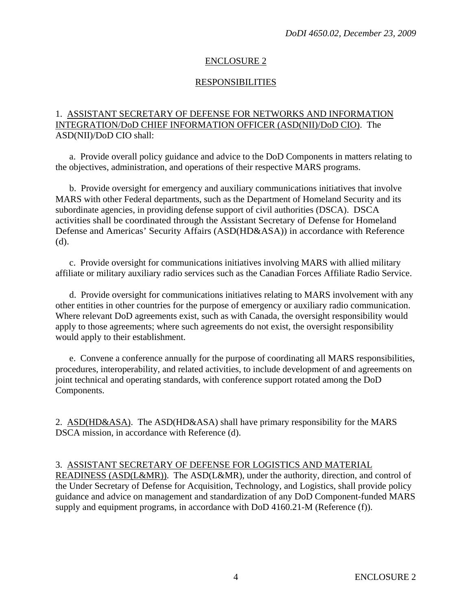# ENCLOSURE 2

# RESPONSIBILITIES

# 1. ASSISTANT SECRETARY OF DEFENSE FOR NETWORKS AND INFORMATION INTEGRATION/DoD CHIEF INFORMATION OFFICER (ASD(NII)/DoD CIO). The ASD(NII)/DoD CIO shall:

 a. Provide overall policy guidance and advice to the DoD Components in matters relating to the objectives, administration, and operations of their respective MARS programs.

 b. Provide oversight for emergency and auxiliary communications initiatives that involve MARS with other Federal departments, such as the Department of Homeland Security and its subordinate agencies, in providing defense support of civil authorities (DSCA). DSCA activities shall be coordinated through the Assistant Secretary of Defense for Homeland Defense and Americas' Security Affairs (ASD(HD&ASA)) in accordance with Reference (d).

 c. Provide oversight for communications initiatives involving MARS with allied military affiliate or military auxiliary radio services such as the Canadian Forces Affiliate Radio Service.

 d. Provide oversight for communications initiatives relating to MARS involvement with any other entities in other countries for the purpose of emergency or auxiliary radio communication. Where relevant DoD agreements exist, such as with Canada, the oversight responsibility would apply to those agreements; where such agreements do not exist, the oversight responsibility would apply to their establishment.

 e. Convene a conference annually for the purpose of coordinating all MARS responsibilities, procedures, interoperability, and related activities, to include development of and agreements on joint technical and operating standards, with conference support rotated among the DoD Components.

2. ASD(HD&ASA). The ASD(HD&ASA) shall have primary responsibility for the MARS DSCA mission, in accordance with Reference (d).

# 3. ASSISTANT SECRETARY OF DEFENSE FOR LOGISTICS AND MATERIAL

READINESS (ASD(L&MR)). The ASD(L&MR), under the authority, direction, and control of the Under Secretary of Defense for Acquisition, Technology, and Logistics, shall provide policy guidance and advice on management and standardization of any DoD Component-funded MARS supply and equipment programs, in accordance with DoD 4160.21-M (Reference (f)).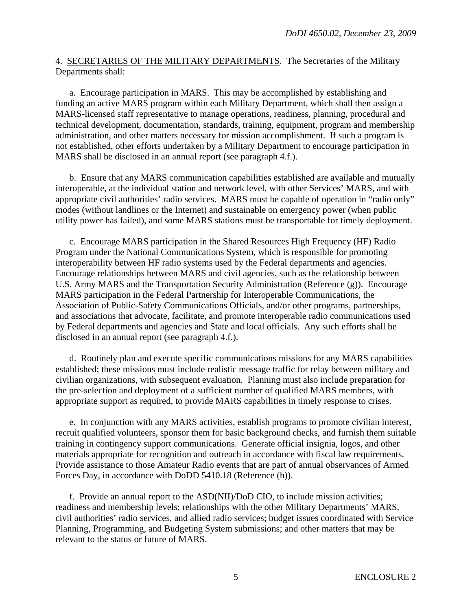## 4. SECRETARIES OF THE MILITARY DEPARTMENTS. The Secretaries of the Military Departments shall:

 a. Encourage participation in MARS. This may be accomplished by establishing and funding an active MARS program within each Military Department, which shall then assign a MARS-licensed staff representative to manage operations, readiness, planning, procedural and technical development, documentation, standards, training, equipment, program and membership administration, and other matters necessary for mission accomplishment. If such a program is not established, other efforts undertaken by a Military Department to encourage participation in MARS shall be disclosed in an annual report (see paragraph 4.f.).

 b. Ensure that any MARS communication capabilities established are available and mutually interoperable, at the individual station and network level, with other Services' MARS, and with appropriate civil authorities' radio services. MARS must be capable of operation in "radio only" modes (without landlines or the Internet) and sustainable on emergency power (when public utility power has failed), and some MARS stations must be transportable for timely deployment.

 c. Encourage MARS participation in the Shared Resources High Frequency (HF) Radio Program under the National Communications System, which is responsible for promoting interoperability between HF radio systems used by the Federal departments and agencies. Encourage relationships between MARS and civil agencies, such as the relationship between U.S. Army MARS and the Transportation Security Administration (Reference (g)). Encourage MARS participation in the Federal Partnership for Interoperable Communications, the Association of Public-Safety Communications Officials, and/or other programs, partnerships, and associations that advocate, facilitate, and promote interoperable radio communications used by Federal departments and agencies and State and local officials. Any such efforts shall be disclosed in an annual report (see paragraph 4.f.).

 d. Routinely plan and execute specific communications missions for any MARS capabilities established; these missions must include realistic message traffic for relay between military and civilian organizations, with subsequent evaluation. Planning must also include preparation for the pre-selection and deployment of a sufficient number of qualified MARS members, with appropriate support as required, to provide MARS capabilities in timely response to crises.

 e. In conjunction with any MARS activities, establish programs to promote civilian interest, recruit qualified volunteers, sponsor them for basic background checks, and furnish them suitable training in contingency support communications. Generate official insignia, logos, and other materials appropriate for recognition and outreach in accordance with fiscal law requirements. Provide assistance to those Amateur Radio events that are part of annual observances of Armed Forces Day, in accordance with DoDD 5410.18 (Reference (h)).

 f. Provide an annual report to the ASD(NII)/DoD CIO, to include mission activities; readiness and membership levels; relationships with the other Military Departments' MARS, civil authorities' radio services, and allied radio services; budget issues coordinated with Service Planning, Programming, and Budgeting System submissions; and other matters that may be relevant to the status or future of MARS.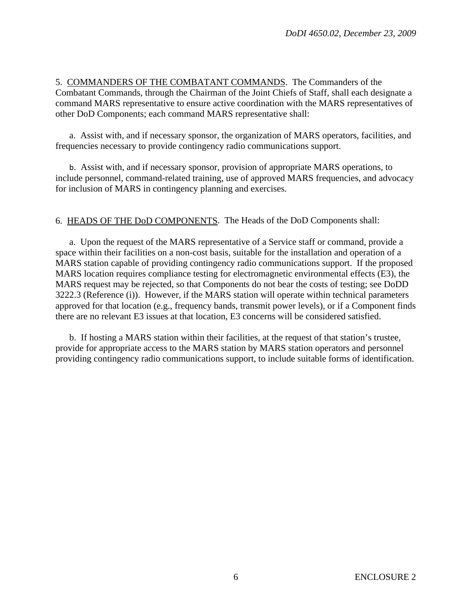5. COMMANDERS OF THE COMBATANT COMMANDS. The Commanders of the Combatant Commands, through the Chairman of the Joint Chiefs of Staff, shall each designate a command MARS representative to ensure active coordination with the MARS representatives of other DoD Components; each command MARS representative shall:

 a. Assist with, and if necessary sponsor, the organization of MARS operators, facilities, and frequencies necessary to provide contingency radio communications support.

b. Assist with, and if necessary sponsor, provision of appropriate MARS operations, to include personnel, command-related training, use of approved MARS frequencies, and advocacy for inclusion of MARS in contingency planning and exercises.

6. HEADS OF THE DoD COMPONENTS. The Heads of the DoD Components shall:

 a. Upon the request of the MARS representative of a Service staff or command, provide a space within their facilities on a non-cost basis, suitable for the installation and operation of a MARS station capable of providing contingency radio communications support. If the proposed MARS location requires compliance testing for electromagnetic environmental effects (E3), the MARS request may be rejected, so that Components do not bear the costs of testing; see DoDD 3222.3 (Reference (i)). However, if the MARS station will operate within technical parameters approved for that location (e.g., frequency bands, transmit power levels), or if a Component finds there are no relevant E3 issues at that location, E3 concerns will be considered satisfied.

 b. If hosting a MARS station within their facilities, at the request of that station's trustee, provide for appropriate access to the MARS station by MARS station operators and personnel providing contingency radio communications support, to include suitable forms of identification.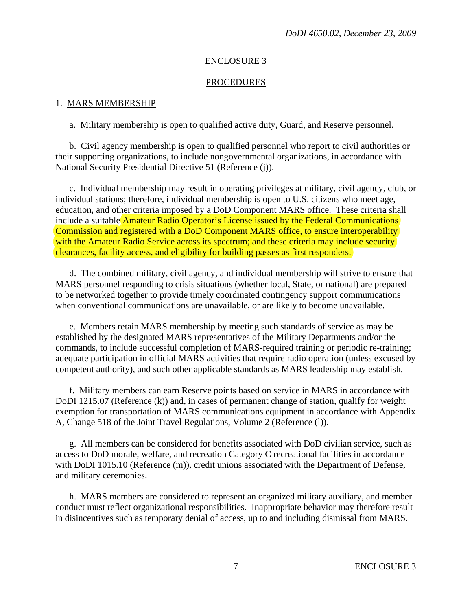## ENCLOSURE 3

### PROCEDURES

#### 1. MARS MEMBERSHIP

a. Military membership is open to qualified active duty, Guard, and Reserve personnel.

 b. Civil agency membership is open to qualified personnel who report to civil authorities or their supporting organizations, to include nongovernmental organizations, in accordance with National Security Presidential Directive 51 (Reference (j)).

 c. Individual membership may result in operating privileges at military, civil agency, club, or individual stations; therefore, individual membership is open to U.S. citizens who meet age, education, and other criteria imposed by a DoD Component MARS office. These criteria shall include a suitable Amateur Radio Operator's License issued by the Federal Communications Commission and registered with a DoD Component MARS office, to ensure interoperability with the Amateur Radio Service across its spectrum; and these criteria may include security clearances, facility access, and eligibility for building passes as first responders.

 d. The combined military, civil agency, and individual membership will strive to ensure that MARS personnel responding to crisis situations (whether local, State, or national) are prepared to be networked together to provide timely coordinated contingency support communications when conventional communications are unavailable, or are likely to become unavailable.

 e. Members retain MARS membership by meeting such standards of service as may be established by the designated MARS representatives of the Military Departments and/or the commands, to include successful completion of MARS-required training or periodic re-training; adequate participation in official MARS activities that require radio operation (unless excused by competent authority), and such other applicable standards as MARS leadership may establish.

 f. Military members can earn Reserve points based on service in MARS in accordance with DoDI 1215.07 (Reference (k)) and, in cases of permanent change of station, qualify for weight exemption for transportation of MARS communications equipment in accordance with Appendix A, Change 518 of the Joint Travel Regulations, Volume 2 (Reference (l)).

 g. All members can be considered for benefits associated with DoD civilian service, such as access to DoD morale, welfare, and recreation Category C recreational facilities in accordance with DoDI 1015.10 (Reference (m)), credit unions associated with the Department of Defense, and military ceremonies.

 h. MARS members are considered to represent an organized military auxiliary, and member conduct must reflect organizational responsibilities. Inappropriate behavior may therefore result in disincentives such as temporary denial of access, up to and including dismissal from MARS.